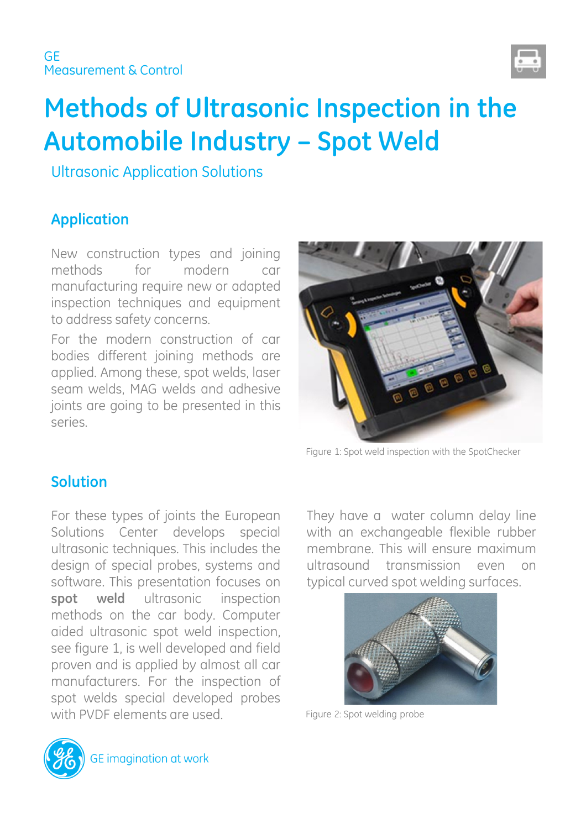

# **Methods of Ultrasonic Inspection in the Automobile Industry – Spot Weld**

Ultrasonic Application Solutions

# **Application**

New construction types and joining methods for modern car manufacturing require new or adapted inspection techniques and equipment to address safety concerns.

For the modern construction of car bodies different joining methods are applied. Among these, spot welds, laser seam welds, MAG welds and adhesive joints are going to be presented in this series.



Figure 1: Spot weld inspection with the SpotChecker

#### **Solution**

For these types of joints the European Solutions Center develops special ultrasonic techniques. This includes the design of special probes, systems and software. This presentation focuses on **spot weld** ultrasonic inspection methods on the car body. Computer aided ultrasonic spot weld inspection, see figure 1, is well developed and field proven and is applied by almost all car manufacturers. For the inspection of spot welds special developed probes with PVDF elements are used.

They have a water column delay line with an exchangeable flexible rubber membrane. This will ensure maximum ultrasound transmission even on typical curved spot welding surfaces.



Figure 2: Spot welding probe